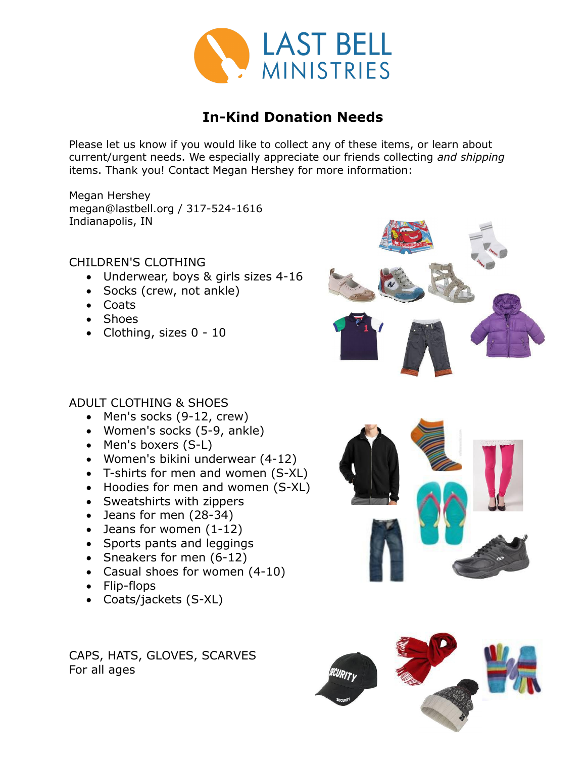

# **In-Kind Donation Needs**

Please let us know if you would like to collect any of these items, or learn about current/urgent needs. We especially appreciate our friends collecting *and shipping* items. Thank you! Contact Megan Hershey for more information:

Megan Hershey megan@lastbell.org / 317-524-1616 Indianapolis, IN

#### CHILDREN'S CLOTHING

- Underwear, boys & girls sizes 4-16
- Socks (crew, not ankle)
- Coats
- Shoes
- Clothing, sizes 0 10

#### ADULT CLOTHING & SHOES

- Men's socks (9-12, crew)
- Women's socks (5-9, ankle)
- Men's boxers (S-L)
- Women's bikini underwear (4-12)
- T-shirts for men and women (S-XL)
- Hoodies for men and women (S-XL)
- Sweatshirts with zippers
- Jeans for men (28-34)
- Jeans for women (1-12)
- Sports pants and leggings
- Sneakers for men  $(6-12)$
- Casual shoes for women (4-10)
- Flip-flops
- Coats/jackets (S-XL)

CAPS, HATS, GLOVES, SCARVES For all ages





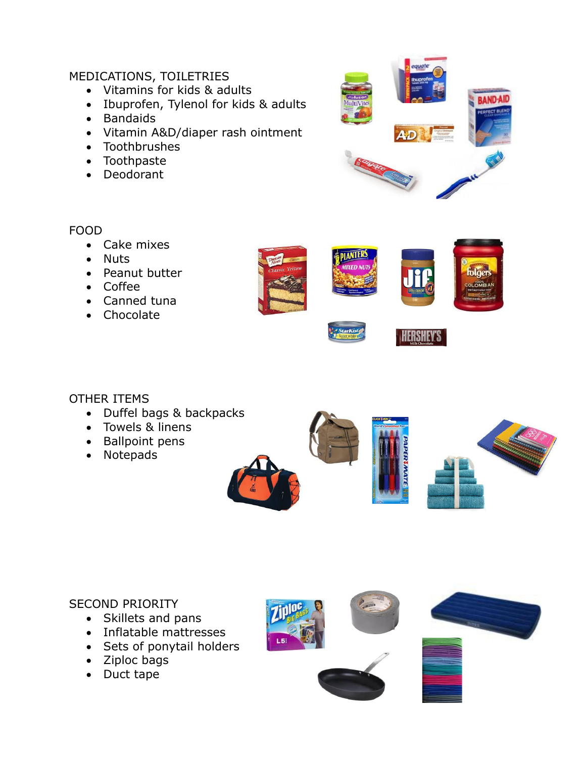## MEDICATIONS, TOILETRIES

- Vitamins for kids & adults
- Ibuprofen, Tylenol for kids & adults
- Bandaids
- Vitamin A&D/diaper rash ointment
- Toothbrushes
- Toothpaste
- Deodorant



**HERSHEY'S** 

## FOOD

- Cake mixes
- Nuts
- Peanut butter
- Coffee
- Canned tuna
- Chocolate



## OTHER ITEMS

- Duffel bags & backpacks
- Towels & linens
- Ballpoint pens
- Notepads



## SECOND PRIORITY

- Skillets and pans
- Inflatable mattresses
- Sets of ponytail holders
- Ziploc bags
- Duct tape